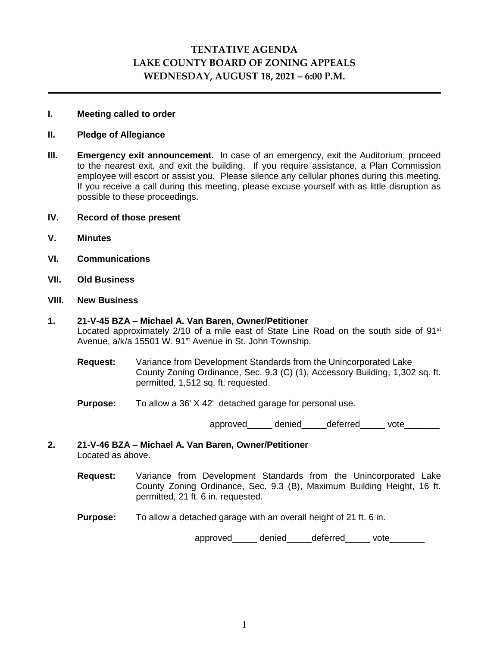# **TENTATIVE AGENDA LAKE COUNTY BOARD OF ZONING APPEALS WEDNESDAY, AUGUST 18, 2021 – 6:00 P.M.**

# **I. Meeting called to order**

# **II. Pledge of Allegiance**

- **III. Emergency exit announcement.** In case of an emergency, exit the Auditorium, proceed to the nearest exit, and exit the building. If you require assistance, a Plan Commission employee will escort or assist you. Please silence any cellular phones during this meeting. If you receive a call during this meeting, please excuse yourself with as little disruption as possible to these proceedings.
- **IV. Record of those present**
- **V. Minutes**
- **VI. Communications**
- **VII. Old Business**

# **VIII. New Business**

# **1. 21-V-45 BZA – Michael A. Van Baren, Owner/Petitioner** Located approximately  $2/10$  of a mile east of State Line Road on the south side of  $91<sup>st</sup>$ Avenue, a/k/a 15501 W. 91<sup>st</sup> Avenue in St. John Township.

- **Request:** Variance from Development Standards from the Unincorporated Lake County Zoning Ordinance, Sec. 9.3 (C) (1), Accessory Building, 1,302 sq. ft. permitted, 1,512 sq. ft. requested.
- **Purpose:** To allow a 36' X 42' detached garage for personal use.

approved denied deferred vote

- **2. 21-V-46 BZA – Michael A. Van Baren, Owner/Petitioner** Located as above.
	- **Request:** Variance from Development Standards from the Unincorporated Lake County Zoning Ordinance, Sec. 9.3 (B), Maximum Building Height, 16 ft. permitted, 21 ft. 6 in. requested.
	- **Purpose:** To allow a detached garage with an overall height of 21 ft. 6 in.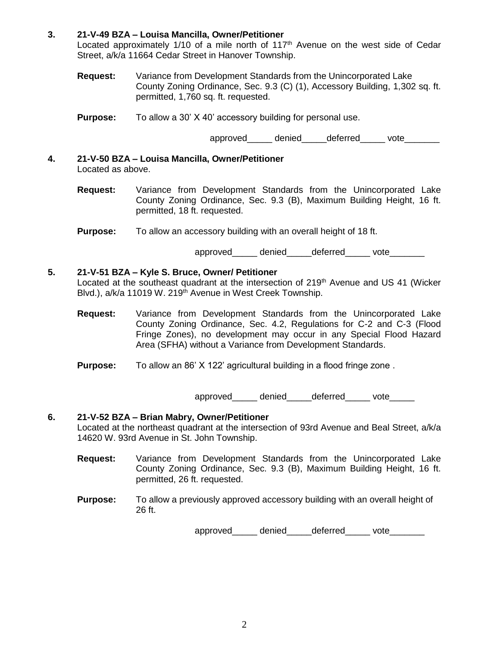# **3. 21-V-49 BZA – Louisa Mancilla, Owner/Petitioner**

Located approximately  $1/10$  of a mile north of  $117<sup>th</sup>$  Avenue on the west side of Cedar Street, a/k/a 11664 Cedar Street in Hanover Township.

- **Request:** Variance from Development Standards from the Unincorporated Lake County Zoning Ordinance, Sec. 9.3 (C) (1), Accessory Building, 1,302 sq. ft. permitted, 1,760 sq. ft. requested.
- **Purpose:** To allow a 30' X 40' accessory building for personal use.

approved denied deferred vote

- **4. 21-V-50 BZA – Louisa Mancilla, Owner/Petitioner** Located as above.
	- **Request:** Variance from Development Standards from the Unincorporated Lake County Zoning Ordinance, Sec. 9.3 (B), Maximum Building Height, 16 ft. permitted, 18 ft. requested.
	- **Purpose:** To allow an accessory building with an overall height of 18 ft.

approved\_\_\_\_\_\_ denied\_\_\_\_\_deferred vote

# **5. 21-V-51 BZA – Kyle S. Bruce, Owner/ Petitioner**

Located at the southeast quadrant at the intersection of 219<sup>th</sup> Avenue and US 41 (Wicker Blvd.), a/k/a 11019 W. 219<sup>th</sup> Avenue in West Creek Township.

- **Request:** Variance from Development Standards from the Unincorporated Lake County Zoning Ordinance, Sec. 4.2, Regulations for C-2 and C-3 (Flood Fringe Zones), no development may occur in any Special Flood Hazard Area (SFHA) without a Variance from Development Standards.
- **Purpose:** To allow an 86' X 122' agricultural building in a flood fringe zone.

approved denied deferred vote

# **6. 21-V-52 BZA – Brian Mabry, Owner/Petitioner**

Located at the northeast quadrant at the intersection of 93rd Avenue and Beal Street, a/k/a 14620 W. 93rd Avenue in St. John Township.

- **Request:** Variance from Development Standards from the Unincorporated Lake County Zoning Ordinance, Sec. 9.3 (B), Maximum Building Height, 16 ft. permitted, 26 ft. requested.
- **Purpose:** To allow a previously approved accessory building with an overall height of 26 ft.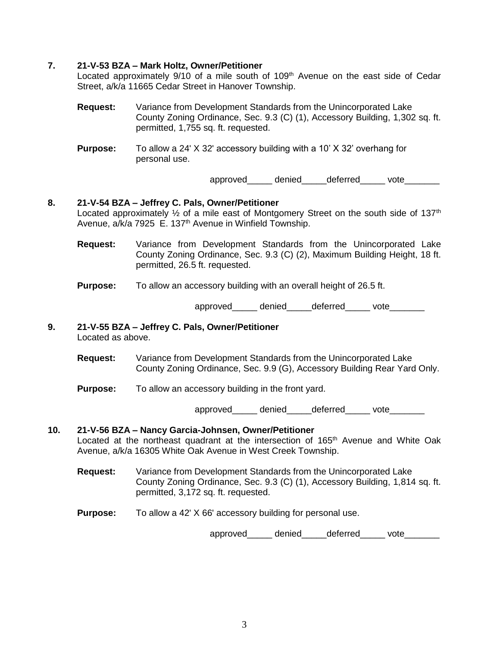# **7. 21-V-53 BZA – Mark Holtz, Owner/Petitioner**

Located approximately  $9/10$  of a mile south of  $109<sup>th</sup>$  Avenue on the east side of Cedar Street, a/k/a 11665 Cedar Street in Hanover Township.

- **Request:** Variance from Development Standards from the Unincorporated Lake County Zoning Ordinance, Sec. 9.3 (C) (1), Accessory Building, 1,302 sq. ft. permitted, 1,755 sq. ft. requested.
- **Purpose:** To allow a 24' X 32' accessory building with a 10' X 32' overhang for personal use.

approved denied deferred vote

#### **8. 21-V-54 BZA – Jeffrey C. Pals, Owner/Petitioner**

Located approximately  $\frac{1}{2}$  of a mile east of Montgomery Street on the south side of 137<sup>th</sup> Avenue, a/k/a 7925 E. 137<sup>th</sup> Avenue in Winfield Township.

**Request:** Variance from Development Standards from the Unincorporated Lake County Zoning Ordinance, Sec. 9.3 (C) (2), Maximum Building Height, 18 ft. permitted, 26.5 ft. requested.

#### **Purpose:** To allow an accessory building with an overall height of 26.5 ft.

approved denied\_\_\_\_\_deferred\_\_\_\_\_ vote\_\_\_\_\_\_\_

# **9. 21-V-55 BZA – Jeffrey C. Pals, Owner/Petitioner**

Located as above.

- **Request:** Variance from Development Standards from the Unincorporated Lake County Zoning Ordinance, Sec. 9.9 (G), Accessory Building Rear Yard Only.
- **Purpose:** To allow an accessory building in the front yard.

approved\_\_\_\_\_\_ denied\_\_\_\_\_\_deferred\_\_\_\_\_\_ vote\_\_\_\_\_\_\_

#### **10. 21-V-56 BZA – Nancy Garcia-Johnsen, Owner/Petitioner** Located at the northeast quadrant at the intersection of 165<sup>th</sup> Avenue and White Oak Avenue, a/k/a 16305 White Oak Avenue in West Creek Township.

- **Request:** Variance from Development Standards from the Unincorporated Lake County Zoning Ordinance, Sec. 9.3 (C) (1), Accessory Building, 1,814 sq. ft. permitted, 3,172 sq. ft. requested.
- **Purpose:** To allow a 42' X 66' accessory building for personal use.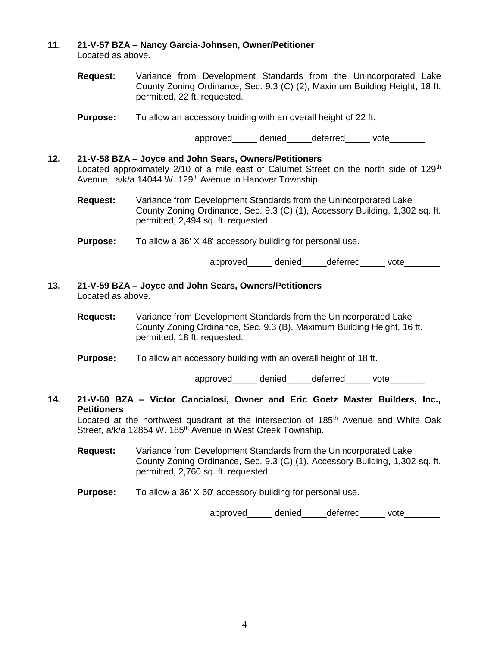#### **11. 21-V-57 BZA – Nancy Garcia-Johnsen, Owner/Petitioner** Located as above.

**Request:** Variance from Development Standards from the Unincorporated Lake County Zoning Ordinance, Sec. 9.3 (C) (2), Maximum Building Height, 18 ft. permitted, 22 ft. requested.

**Purpose:** To allow an accessory buiding with an overall height of 22 ft.

approved denied deferred vote

# **12. 21-V-58 BZA – Joyce and John Sears, Owners/Petitioners** Located approximately  $2/10$  of a mile east of Calumet Street on the north side of  $129<sup>th</sup>$ Avenue, a/k/a 14044 W. 129<sup>th</sup> Avenue in Hanover Township.

**Request:** Variance from Development Standards from the Unincorporated Lake County Zoning Ordinance, Sec. 9.3 (C) (1), Accessory Building, 1,302 sq. ft. permitted, 2,494 sq. ft. requested.

**Purpose:** To allow a 36' X 48' accessory building for personal use.

approved denied deferred vote

# **13. 21-V-59 BZA – Joyce and John Sears, Owners/Petitioners** Located as above.

- **Request:** Variance from Development Standards from the Unincorporated Lake County Zoning Ordinance, Sec. 9.3 (B), Maximum Building Height, 16 ft. permitted, 18 ft. requested.
- **Purpose:** To allow an accessory building with an overall height of 18 ft.

approved denied deferred vote

## **14. 21-V-60 BZA – Victor Cancialosi, Owner and Eric Goetz Master Builders, Inc., Petitioners**

Located at the northwest quadrant at the intersection of 185<sup>th</sup> Avenue and White Oak Street, a/k/a 12854 W. 185<sup>th</sup> Avenue in West Creek Township.

- **Request:** Variance from Development Standards from the Unincorporated Lake County Zoning Ordinance, Sec. 9.3 (C) (1), Accessory Building, 1,302 sq. ft. permitted, 2,760 sq. ft. requested.
- **Purpose:** To allow a 36' X 60' accessory building for personal use.